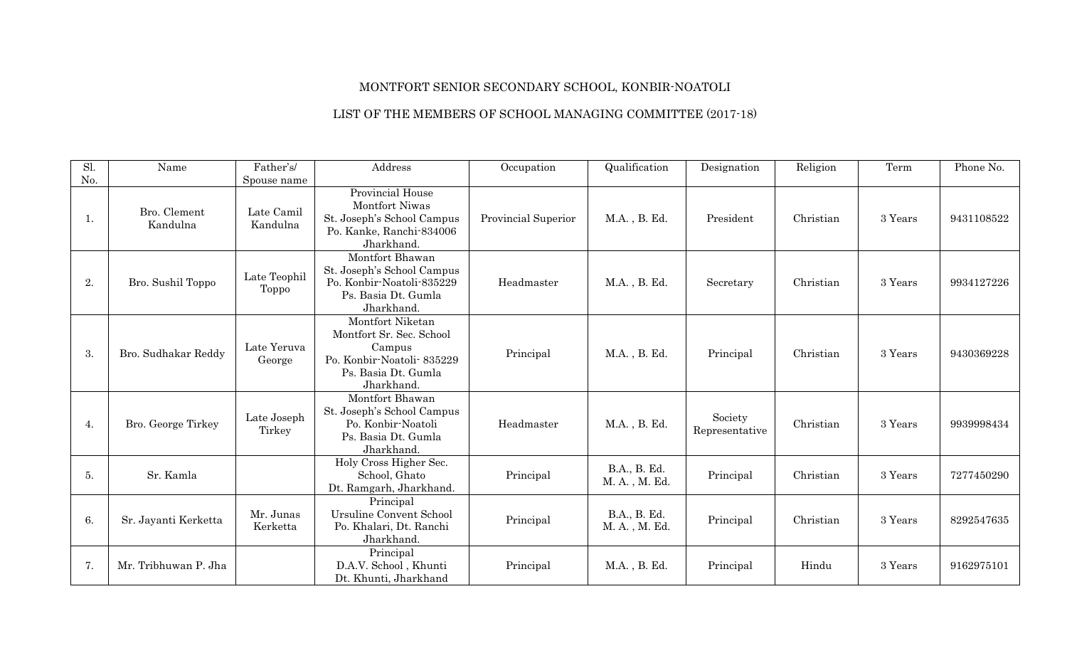## MONTFORT SENIOR SECONDARY SCHOOL, KONBIR-NOATOLI

## LIST OF THE MEMBERS OF SCHOOL MANAGING COMMITTEE (2017-18)

| Sl. | Name                     | Father's/              | Address                                                                                                                  | Occupation          | Qualification                 | Designation               | Religion  | Term    | Phone No.  |
|-----|--------------------------|------------------------|--------------------------------------------------------------------------------------------------------------------------|---------------------|-------------------------------|---------------------------|-----------|---------|------------|
| No. |                          | Spouse name            |                                                                                                                          |                     |                               |                           |           |         |            |
| ı.  | Bro. Clement<br>Kandulna | Late Camil<br>Kandulna | Provincial House<br>Montfort Niwas<br>St. Joseph's School Campus<br>Po. Kanke, Ranchi-834006<br>Jharkhand.               | Provincial Superior | M.A., B. Ed.                  | President                 | Christian | 3 Years | 9431108522 |
| 2.  | Bro. Sushil Toppo        | Late Teophil<br>Toppo  | Montfort Bhawan<br>St. Joseph's School Campus<br>Po. Konbir-Noatoli-835229<br>Ps. Basia Dt. Gumla<br>Jharkhand.          | Headmaster          | M.A., B. Ed.                  | Secretary                 | Christian | 3 Years | 9934127226 |
| 3.  | Bro. Sudhakar Reddy      | Late Yeruva<br>George  | Montfort Niketan<br>Montfort Sr. Sec. School<br>Campus<br>Po. Konbir-Noatoli-835229<br>Ps. Basia Dt. Gumla<br>Jharkhand. | Principal           | M.A., B. Ed.                  | Principal                 | Christian | 3 Years | 9430369228 |
| 4.  | Bro. George Tirkey       | Late Joseph<br>Tirkey  | Montfort Bhawan<br>St. Joseph's School Campus<br>Po. Konbir-Noatoli<br>Ps. Basia Dt. Gumla<br>Jharkhand.                 | Headmaster          | M.A., B. Ed.                  | Society<br>Representative | Christian | 3 Years | 9939998434 |
| 5.  | Sr. Kamla                |                        | Holy Cross Higher Sec.<br>School, Ghato<br>Dt. Ramgarh, Jharkhand.                                                       | Principal           | B.A., B. Ed.<br>M. A., M. Ed. | Principal                 | Christian | 3 Years | 7277450290 |
| 6.  | Sr. Jayanti Kerketta     | Mr. Junas<br>Kerketta  | Principal<br><b>Ursuline Convent School</b><br>Po. Khalari, Dt. Ranchi<br>Jharkhand.                                     | Principal           | B.A., B. Ed.<br>M. A., M. Ed. | Principal                 | Christian | 3 Years | 8292547635 |
| 7.  | Mr. Tribhuwan P. Jha     |                        | Principal<br>D.A.V. School, Khunti<br>Dt. Khunti, Jharkhand                                                              | Principal           | M.A., B. Ed.                  | Principal                 | Hindu     | 3 Years | 9162975101 |